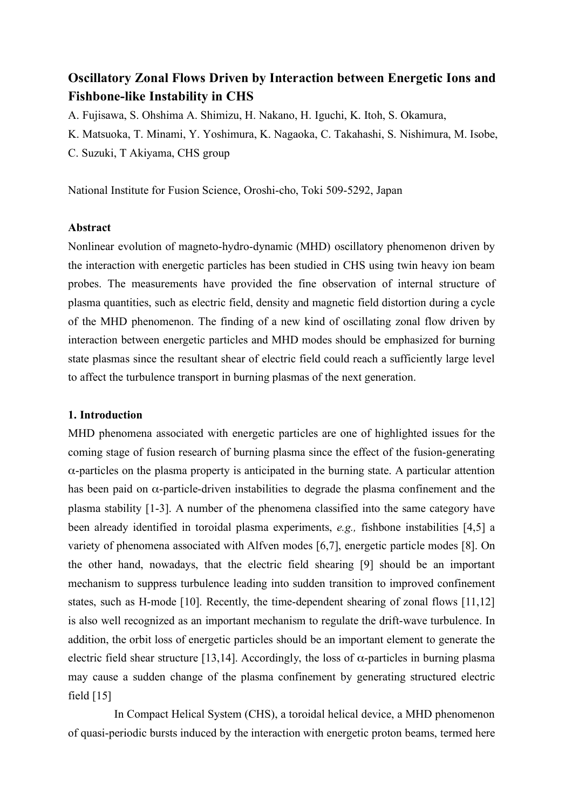# **Oscillatory Zonal Flows Driven by Interaction between Energetic Ions and Fishbone-like Instability in CHS**

A. Fujisawa, S. Ohshima A. Shimizu, H. Nakano, H. Iguchi, K. Itoh, S. Okamura,

K. Matsuoka, T. Minami, Y. Yoshimura, K. Nagaoka, C. Takahashi, S. Nishimura, M. Isobe,

C. Suzuki, T Akiyama, CHS group

National Institute for Fusion Science, Oroshi-cho, Toki 509-5292, Japan

## **Abstract**

Nonlinear evolution of magneto-hydro-dynamic (MHD) oscillatory phenomenon driven by the interaction with energetic particles has been studied in CHS using twin heavy ion beam probes. The measurements have provided the fine observation of internal structure of plasma quantities, such as electric field, density and magnetic field distortion during a cycle of the MHD phenomenon. The finding of a new kind of oscillating zonal flow driven by interaction between energetic particles and MHD modes should be emphasized for burning state plasmas since the resultant shear of electric field could reach a sufficiently large level to affect the turbulence transport in burning plasmas of the next generation.

#### **1. Introduction**

MHD phenomena associated with energetic particles are one of highlighted issues for the coming stage of fusion research of burning plasma since the effect of the fusion-generating α-particles on the plasma property is anticipated in the burning state. A particular attention has been paid on  $\alpha$ -particle-driven instabilities to degrade the plasma confinement and the plasma stability [1-3]. A number of the phenomena classified into the same category have been already identified in toroidal plasma experiments, *e.g.,* fishbone instabilities [4,5] a variety of phenomena associated with Alfven modes [6,7], energetic particle modes [8]. On the other hand, nowadays, that the electric field shearing [9] should be an important mechanism to suppress turbulence leading into sudden transition to improved confinement states, such as H-mode [10]. Recently, the time-dependent shearing of zonal flows [11,12] is also well recognized as an important mechanism to regulate the drift-wave turbulence. In addition, the orbit loss of energetic particles should be an important element to generate the electric field shear structure [13,14]. Accordingly, the loss of  $\alpha$ -particles in burning plasma may cause a sudden change of the plasma confinement by generating structured electric field  $[15]$ 

In Compact Helical System (CHS), a toroidal helical device, a MHD phenomenon of quasi-periodic bursts induced by the interaction with energetic proton beams, termed here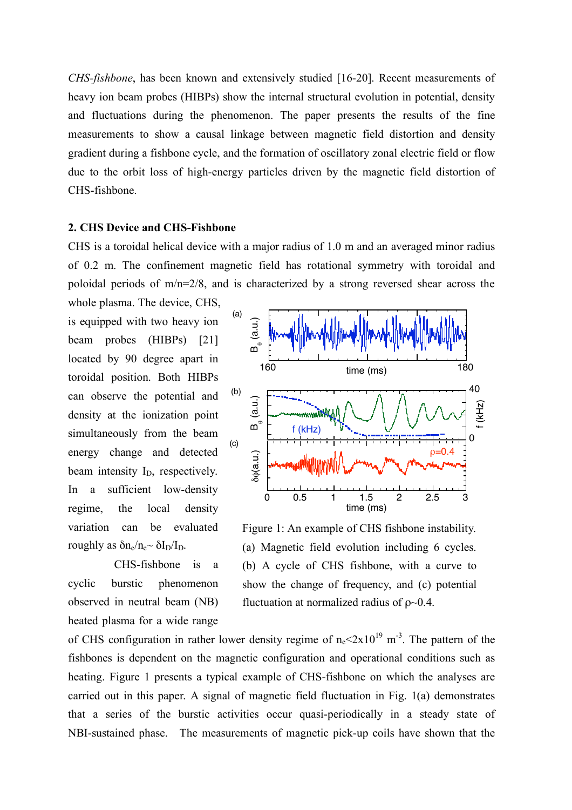*CHS-fishbone*, has been known and extensively studied [16-20]. Recent measurements of heavy ion beam probes (HIBPs) show the internal structural evolution in potential, density and fluctuations during the phenomenon. The paper presents the results of the fine measurements to show a causal linkage between magnetic field distortion and density gradient during a fishbone cycle, and the formation of oscillatory zonal electric field or flow due to the orbit loss of high-energy particles driven by the magnetic field distortion of CHS-fishbone.

### **2. CHS Device and CHS-Fishbone**

CHS is a toroidal helical device with a major radius of 1.0 m and an averaged minor radius of 0.2 m. The confinement magnetic field has rotational symmetry with toroidal and poloidal periods of m/n=2/8, and is characterized by a strong reversed shear across the

whole plasma. The device, CHS, is equipped with two heavy ion beam probes (HIBPs) [21] located by 90 degree apart in toroidal position. Both HIBPs can observe the potential and density at the ionization point simultaneously from the beam energy change and detected beam intensity  $I<sub>D</sub>$ , respectively. In a sufficient low-density regime, the local density variation can be evaluated roughly as  $\delta n_e/n_e \sim \delta I_D/I_D$ .

CHS-fishbone is a cyclic burstic phenomenon observed in neutral beam (NB) heated plasma for a wide range



Figure 1: An example of CHS fishbone instability. (a) Magnetic field evolution including 6 cycles. (b) A cycle of CHS fishbone, with a curve to show the change of frequency, and (c) potential fluctuation at normalized radius of  $\rho$ ~0.4.

of CHS configuration in rather lower density regime of  $n_e$ <2x10<sup>19</sup> m<sup>-3</sup>. The pattern of the fishbones is dependent on the magnetic configuration and operational conditions such as heating. Figure 1 presents a typical example of CHS-fishbone on which the analyses are carried out in this paper. A signal of magnetic field fluctuation in Fig. 1(a) demonstrates that a series of the burstic activities occur quasi-periodically in a steady state of NBI-sustained phase. The measurements of magnetic pick-up coils have shown that the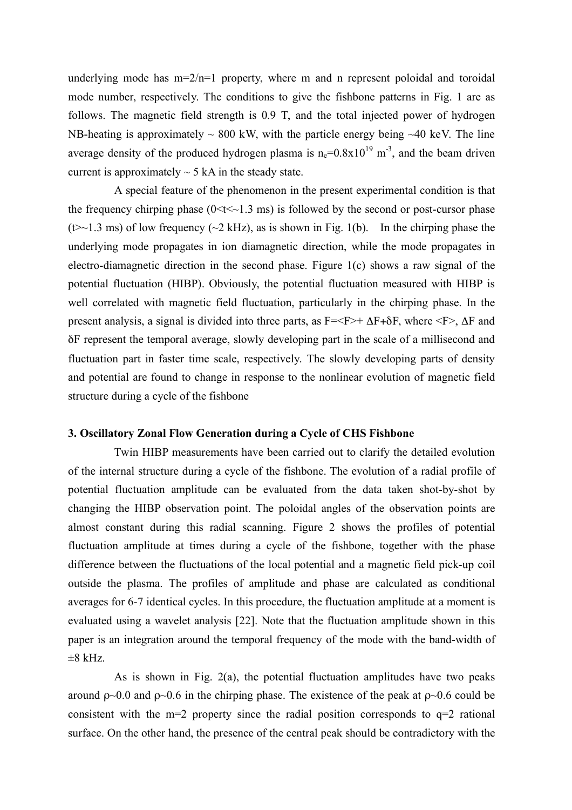underlying mode has  $m=2/n=1$  property, where m and n represent poloidal and toroidal mode number, respectively. The conditions to give the fishbone patterns in Fig. 1 are as follows. The magnetic field strength is 0.9 T, and the total injected power of hydrogen NB-heating is approximately  $\sim 800$  kW, with the particle energy being  $\sim 40$  keV. The line average density of the produced hydrogen plasma is  $n_e=0.8\times10^{19}$  m<sup>-3</sup>, and the beam driven current is approximately  $\sim$  5 kA in the steady state.

A special feature of the phenomenon in the present experimental condition is that the frequency chirping phase  $(0 \le t \le -1.3 \text{ ms})$  is followed by the second or post-cursor phase  $(\leftrightarrow \sim 1.3 \text{ ms})$  of low frequency  $(\sim 2 \text{ kHz})$ , as is shown in Fig. 1(b). In the chirping phase the underlying mode propagates in ion diamagnetic direction, while the mode propagates in electro-diamagnetic direction in the second phase. Figure 1(c) shows a raw signal of the potential fluctuation (HIBP). Obviously, the potential fluctuation measured with HIBP is well correlated with magnetic field fluctuation, particularly in the chirping phase. In the present analysis, a signal is divided into three parts, as  $F=\{F\}+\Delta F+\delta F$ , where  $\{F\}$ ,  $\Delta F$  and δF represent the temporal average, slowly developing part in the scale of a millisecond and fluctuation part in faster time scale, respectively. The slowly developing parts of density and potential are found to change in response to the nonlinear evolution of magnetic field structure during a cycle of the fishbone

### **3. Oscillatory Zonal Flow Generation during a Cycle of CHS Fishbone**

Twin HIBP measurements have been carried out to clarify the detailed evolution of the internal structure during a cycle of the fishbone. The evolution of a radial profile of potential fluctuation amplitude can be evaluated from the data taken shot-by-shot by changing the HIBP observation point. The poloidal angles of the observation points are almost constant during this radial scanning. Figure 2 shows the profiles of potential fluctuation amplitude at times during a cycle of the fishbone, together with the phase difference between the fluctuations of the local potential and a magnetic field pick-up coil outside the plasma. The profiles of amplitude and phase are calculated as conditional averages for 6-7 identical cycles. In this procedure, the fluctuation amplitude at a moment is evaluated using a wavelet analysis [22]. Note that the fluctuation amplitude shown in this paper is an integration around the temporal frequency of the mode with the band-width of  $\pm 8$  kHz.

As is shown in Fig. 2(a), the potential fluctuation amplitudes have two peaks around  $ρ~0.0$  and  $ρ~0.6$  in the chirping phase. The existence of the peak at  $ρ~0.6$  could be consistent with the m=2 property since the radial position corresponds to  $q=2$  rational surface. On the other hand, the presence of the central peak should be contradictory with the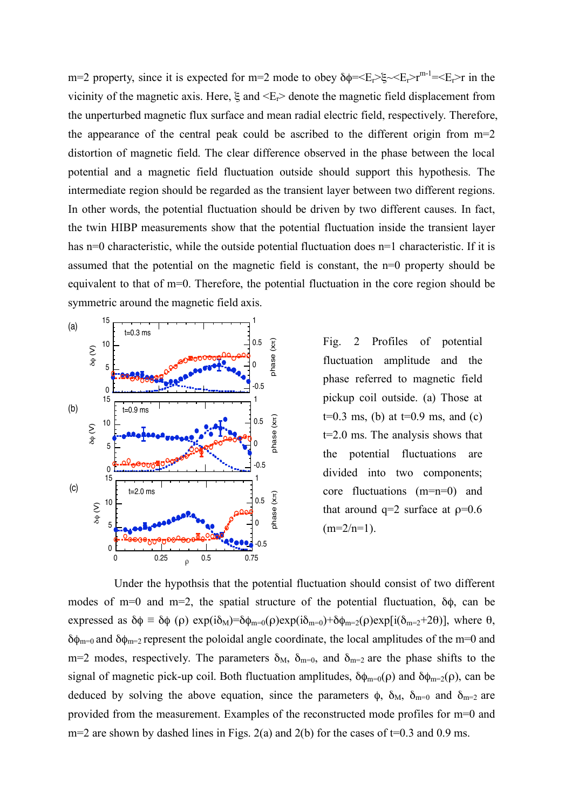m=2 property, since it is expected for m=2 mode to obey  $\delta \phi = \langle E_r \rangle = \langle E_r \rangle r^{m-1} = \langle E_r \rangle r$  in the vicinity of the magnetic axis. Here,  $\xi$  and  $\leq E_r$  denote the magnetic field displacement from the unperturbed magnetic flux surface and mean radial electric field, respectively. Therefore, the appearance of the central peak could be ascribed to the different origin from m=2 distortion of magnetic field. The clear difference observed in the phase between the local potential and a magnetic field fluctuation outside should support this hypothesis. The intermediate region should be regarded as the transient layer between two different regions. In other words, the potential fluctuation should be driven by two different causes. In fact, the twin HIBP measurements show that the potential fluctuation inside the transient layer has n=0 characteristic, while the outside potential fluctuation does n=1 characteristic. If it is assumed that the potential on the magnetic field is constant, the n=0 property should be equivalent to that of m=0. Therefore, the potential fluctuation in the core region should be symmetric around the magnetic field axis.



Fig. 2 Profiles of potential fluctuation amplitude and the phase referred to magnetic field pickup coil outside. (a) Those at  $t=0.3$  ms, (b) at  $t=0.9$  ms, and (c) t=2.0 ms. The analysis shows that the potential fluctuations are divided into two components; core fluctuations (m=n=0) and that around  $q=2$  surface at  $p=0.6$  $(m=2/n=1)$ .

Under the hypothsis that the potential fluctuation should consist of two different modes of m=0 and m=2, the spatial structure of the potential fluctuation,  $\delta\phi$ , can be expressed as  $\delta \phi = \delta \phi$  (ρ) exp(i $\delta$ <sub>M</sub>)= $\delta \phi$ <sub>m=0</sub>(ρ)exp(i $\delta$ <sub>m=0</sub>)+ $\delta \phi$ <sub>m=2</sub>(ρ)exp[i( $\delta$ <sub>m=2</sub>+2θ)], where  $\theta$ , δ $φ_{m=0}$  and δ $φ_{m=2}$  represent the poloidal angle coordinate, the local amplitudes of the m=0 and m=2 modes, respectively. The parameters  $\delta_{M}$ ,  $\delta_{m=0}$ , and  $\delta_{m=2}$  are the phase shifts to the signal of magnetic pick-up coil. Both fluctuation amplitudes,  $\delta \phi_{m=0}(\rho)$  and  $\delta \phi_{m=2}(\rho)$ , can be deduced by solving the above equation, since the parameters  $\phi$ ,  $\delta_M$ ,  $\delta_{m=0}$  and  $\delta_{m=2}$  are provided from the measurement. Examples of the reconstructed mode profiles for m=0 and  $m=2$  are shown by dashed lines in Figs. 2(a) and 2(b) for the cases of t=0.3 and 0.9 ms.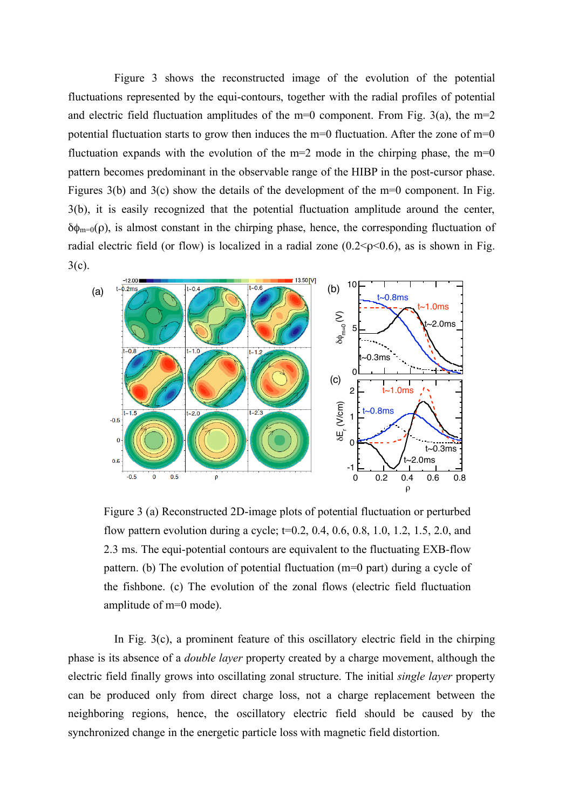Figure 3 shows the reconstructed image of the evolution of the potential fluctuations represented by the equi-contours, together with the radial profiles of potential and electric field fluctuation amplitudes of the  $m=0$  component. From Fig. 3(a), the  $m=2$ potential fluctuation starts to grow then induces the m=0 fluctuation. After the zone of m=0 fluctuation expands with the evolution of the  $m=2$  mode in the chirping phase, the  $m=0$ pattern becomes predominant in the observable range of the HIBP in the post-cursor phase. Figures 3(b) and 3(c) show the details of the development of the m=0 component. In Fig. 3(b), it is easily recognized that the potential fluctuation amplitude around the center,  $\delta\phi_{m=0}(\rho)$ , is almost constant in the chirping phase, hence, the corresponding fluctuation of radial electric field (or flow) is localized in a radial zone  $(0.2 < p < 0.6)$ , as is shown in Fig.  $3(c)$ .



Figure 3 (a) Reconstructed 2D-image plots of potential fluctuation or perturbed flow pattern evolution during a cycle;  $t=0.2, 0.4, 0.6, 0.8, 1.0, 1.2, 1.5, 2.0,$  and 2.3 ms. The equi-potential contours are equivalent to the fluctuating EXB-flow pattern. (b) The evolution of potential fluctuation (m=0 part) during a cycle of the fishbone. (c) The evolution of the zonal flows (electric field fluctuation amplitude of m=0 mode).

In Fig. 3(c), a prominent feature of this oscillatory electric field in the chirping phase is its absence of a *double layer* property created by a charge movement, although the electric field finally grows into oscillating zonal structure. The initial *single layer* property can be produced only from direct charge loss, not a charge replacement between the neighboring regions, hence, the oscillatory electric field should be caused by the synchronized change in the energetic particle loss with magnetic field distortion.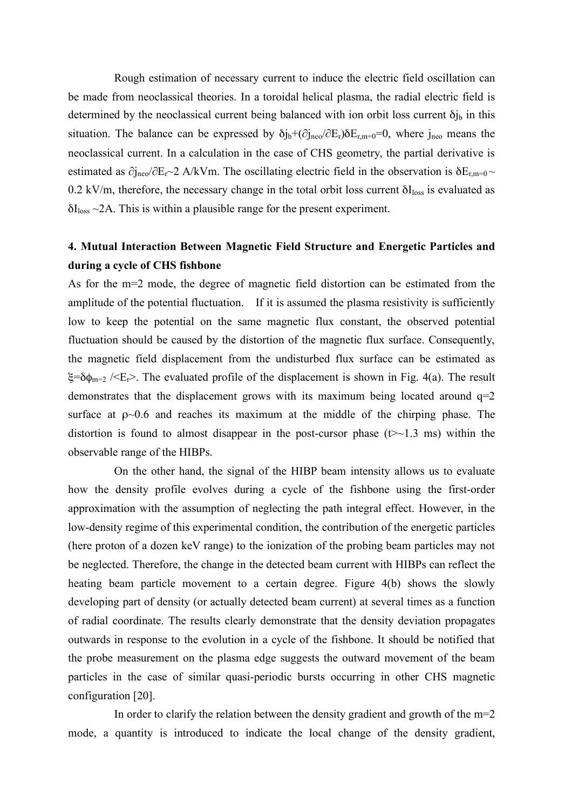Rough estimation of necessary current to induce the electric field oscillation can be made from neoclassical theories. In a toroidal helical plasma, the radial electric field is determined by the neoclassical current being balanced with ion orbit loss current  $\delta j_b$  in this situation. The balance can be expressed by  $\delta j_b + (\partial j_{\text{neo}}/\partial E_r) \delta E_{r,m=0} = 0$ , where  $j_{\text{neo}}$  means the neoclassical current. In a calculation in the case of CHS geometry, the partial derivative is estimated as  $\partial j_{\text{neo}}/\partial E_r \sim 2$  A/kVm. The oscillating electric field in the observation is  $\delta E_{r,m=0} \sim$ 0.2 kV/m, therefore, the necessary change in the total orbit loss current  $\delta I_{loss}$  is evaluated as  $\delta I_{loss} \sim 2A$ . This is within a plausible range for the present experiment.

## **4. Mutual Interaction Between Magnetic Field Structure and Energetic Particles and during a cycle of CHS fishbone**

As for the m=2 mode, the degree of magnetic field distortion can be estimated from the amplitude of the potential fluctuation. If it is assumed the plasma resistivity is sufficiently low to keep the potential on the same magnetic flux constant, the observed potential fluctuation should be caused by the distortion of the magnetic flux surface. Consequently, the magnetic field displacement from the undisturbed flux surface can be estimated as ξ=δ $φ_{m=2}$  /<E<sub>r</sub>>. The evaluated profile of the displacement is shown in Fig. 4(a). The result demonstrates that the displacement grows with its maximum being located around  $q=2$ surface at  $p \sim 0.6$  and reaches its maximum at the middle of the chirping phase. The distortion is found to almost disappear in the post-cursor phase  $(\geq 1.3 \text{ ms})$  within the observable range of the HIBPs.

On the other hand, the signal of the HIBP beam intensity allows us to evaluate how the density profile evolves during a cycle of the fishbone using the first-order approximation with the assumption of neglecting the path integral effect. However, in the low-density regime of this experimental condition, the contribution of the energetic particles (here proton of a dozen keV range) to the ionization of the probing beam particles may not be neglected. Therefore, the change in the detected beam current with HIBPs can reflect the heating beam particle movement to a certain degree. Figure 4(b) shows the slowly developing part of density (or actually detected beam current) at several times as a function of radial coordinate. The results clearly demonstrate that the density deviation propagates outwards in response to the evolution in a cycle of the fishbone. It should be notified that the probe measurement on the plasma edge suggests the outward movement of the beam particles in the case of similar quasi-periodic bursts occurring in other CHS magnetic configuration [20].

In order to clarify the relation between the density gradient and growth of the  $m=2$ mode, a quantity is introduced to indicate the local change of the density gradient,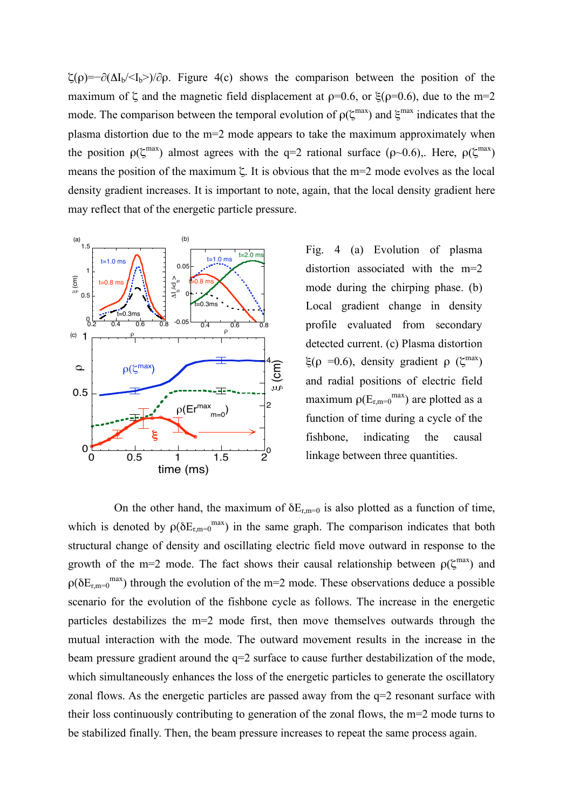$\zeta(\rho)=-\partial(\Delta I_b/\langle I_b\rangle)/\partial \rho$ . Figure 4(c) shows the comparison between the position of the maximum of  $\zeta$  and the magnetic field displacement at  $p=0.6$ , or  $\xi(p=0.6)$ , due to the m=2 mode. The comparison between the temporal evolution of  $\rho(\zeta^{\text{max}})$  and  $\xi^{\text{max}}$  indicates that the plasma distortion due to the m=2 mode appears to take the maximum approximately when the position  $\rho(\zeta^{\text{max}})$  almost agrees with the q=2 rational surface ( $\rho$ ~0.6),. Here,  $\rho(\zeta^{\text{max}})$ means the position of the maximum ζ. It is obvious that the m=2 mode evolves as the local density gradient increases. It is important to note, again, that the local density gradient here may reflect that of the energetic particle pressure.



Fig. 4 (a) Evolution of plasma distortion associated with the m=2 mode during the chirping phase. (b) Local gradient change in density profile evaluated from secondary detected current. (c) Plasma distortion ξ(ρ = 0.6), density gradient ρ (ζ<sup>max</sup>) and radial positions of electric field maximum  $\rho(E_{r,m=0}^{max})$  are plotted as a function of time during a cycle of the fishbone, indicating the causal

On the other hand, the maximum of  $\delta E_{r,m=0}$  is also plotted as a function of time, which is denoted by  $\rho(\delta E_{r,m=0}^{max})$  in the same graph. The comparison indicates that both structural change of density and oscillating electric field move outward in response to the growth of the m=2 mode. The fact shows their causal relationship between  $\rho(\zeta^{\text{max}})$  and  $\rho(\delta E_{r,m=0}^{max})$  through the evolution of the m=2 mode. These observations deduce a possible scenario for the evolution of the fishbone cycle as follows. The increase in the energetic particles destabilizes the m=2 mode first, then move themselves outwards through the mutual interaction with the mode. The outward movement results in the increase in the beam pressure gradient around the q=2 surface to cause further destabilization of the mode, which simultaneously enhances the loss of the energetic particles to generate the oscillatory zonal flows. As the energetic particles are passed away from the  $q=2$  resonant surface with their loss continuously contributing to generation of the zonal flows, the m=2 mode turns to be stabilized finally. Then, the beam pressure increases to repeat the same process again.